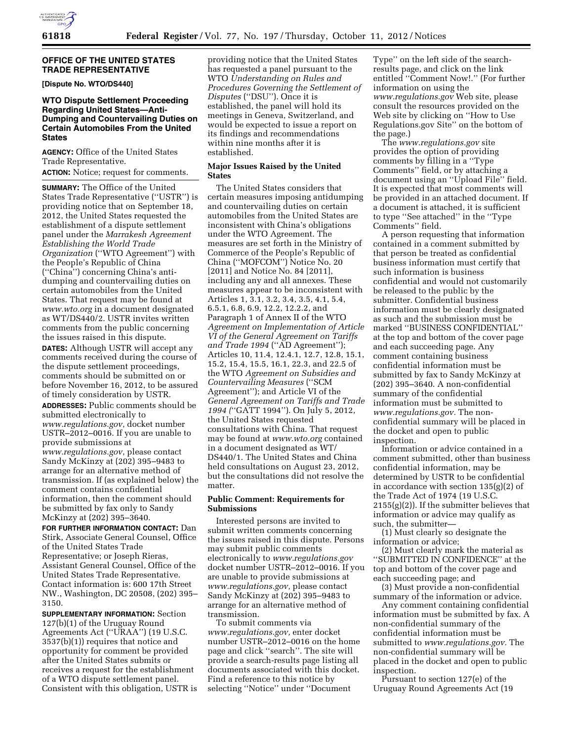# **OFFICE OF THE UNITED STATES TRADE REPRESENTATIVE**

**[Dispute No. WTO/DS440]** 

# **WTO Dispute Settlement Proceeding Regarding United States—Anti-Dumping and Countervailing Duties on Certain Automobiles From the United States**

**AGENCY:** Office of the United States Trade Representative.

**ACTION:** Notice; request for comments.

**SUMMARY:** The Office of the United States Trade Representative (''USTR'') is providing notice that on September 18, 2012, the United States requested the establishment of a dispute settlement panel under the *Marrakesh Agreement Establishing the World Trade Organization* (''WTO Agreement'') with the People's Republic of China (''China'') concerning China's antidumping and countervailing duties on certain automobiles from the United States. That request may be found at *[www.wto.org](http://www.wto.org)* in a document designated as WT/DS440/2. USTR invites written comments from the public concerning the issues raised in this dispute. **DATES:** Although USTR will accept any comments received during the course of the dispute settlement proceedings, comments should be submitted on or before November 16, 2012, to be assured of timely consideration by USTR.

**ADDRESSES:** Public comments should be submitted electronically to *[www.regulations.gov](http://www.regulations.gov)*, docket number USTR–2012–0016. If you are unable to provide submissions at *[www.regulations.gov](http://www.regulations.gov)*, please contact Sandy McKinzy at (202) 395–9483 to arrange for an alternative method of transmission. If (as explained below) the comment contains confidential information, then the comment should be submitted by fax only to Sandy McKinzy at (202) 395–3640.

**FOR FURTHER INFORMATION CONTACT:** Dan Stirk, Associate General Counsel, Office of the United States Trade Representative; or Joseph Rieras, Assistant General Counsel, Office of the United States Trade Representative. Contact information is: 600 17th Street NW., Washington, DC 20508, (202) 395– 3150.

**SUPPLEMENTARY INFORMATION:** Section 127(b)(1) of the Uruguay Round Agreements Act (''URAA'') (19 U.S.C. 3537(b)(1)) requires that notice and opportunity for comment be provided after the United States submits or receives a request for the establishment of a WTO dispute settlement panel. Consistent with this obligation, USTR is providing notice that the United States has requested a panel pursuant to the WTO *Understanding on Rules and Procedures Governing the Settlement of Disputes* (''DSU''). Once it is established, the panel will hold its meetings in Geneva, Switzerland, and would be expected to issue a report on its findings and recommendations within nine months after it is established.

### **Major Issues Raised by the United States**

The United States considers that certain measures imposing antidumping and countervailing duties on certain automobiles from the United States are inconsistent with China's obligations under the WTO Agreement. The measures are set forth in the Ministry of Commerce of the People's Republic of China (''MOFCOM'') Notice No. 20 [2011] and Notice No. 84 [2011], including any and all annexes. These measures appear to be inconsistent with Articles 1, 3.1, 3.2, 3.4, 3.5, 4.1, 5.4, 6.5.1, 6.8, 6.9, 12.2, 12.2.2, and Paragraph 1 of Annex II of the WTO *Agreement on Implementation of Article VI of the General Agreement on Tariffs and Trade 1994* (''AD Agreement''); Articles 10, 11.4, 12.4.1, 12.7, 12.8, 15.1, 15.2, 15.4, 15.5, 16.1, 22.3, and 22.5 of the WTO *Agreement on Subsidies and Countervailing Measures* (''SCM Agreement''); and Article VI of the *General Agreement on Tariffs and Trade 1994 (*''GATT 1994''). On July 5, 2012, the United States requested consultations with China. That request may be found at *[www.wto.org](http://www.wto.org)* contained in a document designated as WT/ DS440/1. The United States and China held consultations on August 23, 2012, but the consultations did not resolve the matter.

# **Public Comment: Requirements for Submissions**

Interested persons are invited to submit written comments concerning the issues raised in this dispute. Persons may submit public comments electronically to *[www.regulations.gov](http://www.regulations.gov)*  docket number USTR–2012–0016. If you are unable to provide submissions at *[www.regulations.gov,](http://www.regulations.gov)* please contact Sandy McKinzy at (202) 395–9483 to arrange for an alternative method of transmission.

To submit comments via *[www.regulations.gov,](http://www.regulations.gov)* enter docket number USTR–2012–0016 on the home page and click ''search''. The site will provide a search-results page listing all documents associated with this docket. Find a reference to this notice by selecting ''Notice'' under ''Document

Type'' on the left side of the searchresults page, and click on the link entitled ''Comment Now!.'' (For further information on using the *[www.regulations.gov](http://www.regulations.gov)* Web site, please consult the resources provided on the Web site by clicking on ''How to Use Regulations.gov Site'' on the bottom of the page.)

The *[www.regulations.gov](http://www.regulations.gov)* site provides the option of providing comments by filling in a ''Type Comments'' field, or by attaching a document using an ''Upload File'' field. It is expected that most comments will be provided in an attached document. If a document is attached, it is sufficient to type ''See attached'' in the ''Type Comments'' field.

A person requesting that information contained in a comment submitted by that person be treated as confidential business information must certify that such information is business confidential and would not customarily be released to the public by the submitter. Confidential business information must be clearly designated as such and the submission must be marked ''BUSINESS CONFIDENTIAL'' at the top and bottom of the cover page and each succeeding page. Any comment containing business confidential information must be submitted by fax to Sandy McKinzy at (202) 395–3640. A non-confidential summary of the confidential information must be submitted to *[www.regulations.gov.](http://www.regulations.gov)* The nonconfidential summary will be placed in the docket and open to public inspection.

Information or advice contained in a comment submitted, other than business confidential information, may be determined by USTR to be confidential in accordance with section 135(g)(2) of the Trade Act of 1974 (19 U.S.C. 2155(g)(2)). If the submitter believes that information or advice may qualify as such, the submitter—

(1) Must clearly so designate the information or advice;

(2) Must clearly mark the material as ''SUBMITTED IN CONFIDENCE'' at the top and bottom of the cover page and each succeeding page; and

(3) Must provide a non-confidential summary of the information or advice.

Any comment containing confidential information must be submitted by fax. A non-confidential summary of the confidential information must be submitted to *[www.regulations.gov.](http://www.regulations.gov)* The non-confidential summary will be placed in the docket and open to public inspection.

Pursuant to section 127(e) of the Uruguay Round Agreements Act (19